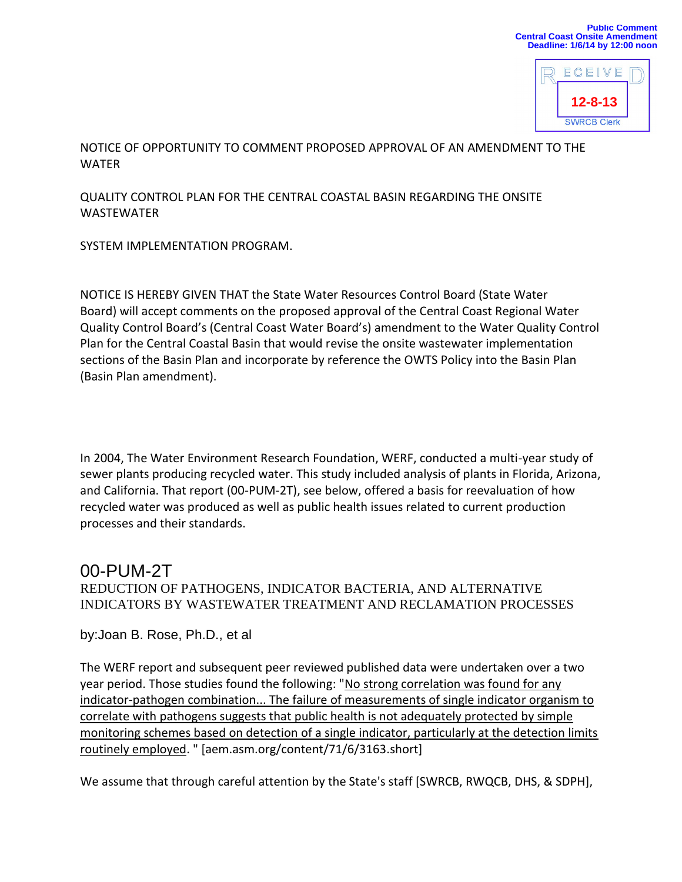

NOTICE OF OPPORTUNITY TO COMMENT PROPOSED APPROVAL OF AN AMENDMENT TO THE WATER

QUALITY CONTROL PLAN FOR THE CENTRAL COASTAL BASIN REGARDING THE ONSITE WASTEWATER

SYSTEM IMPLEMENTATION PROGRAM.

NOTICE IS HEREBY GIVEN THAT the State Water Resources Control Board (State Water Board) will accept comments on the proposed approval of the Central Coast Regional Water Quality Control Board's (Central Coast Water Board's) amendment to the Water Quality Control Plan for the Central Coastal Basin that would revise the onsite wastewater implementation sections of the Basin Plan and incorporate by reference the OWTS Policy into the Basin Plan (Basin Plan amendment).

In 2004, The Water Environment Research Foundation, WERF, conducted a multi-year study of sewer plants producing recycled water. This study included analysis of plants in Florida, Arizona, and California. That report (00-PUM-2T), see below, offered a basis for reevaluation of how recycled water was produced as well as public health issues related to current production processes and their standards.

## 00-PUM-2T

## REDUCTION OF PATHOGENS, INDICATOR BACTERIA, AND ALTERNATIVE INDICATORS BY WASTEWATER TREATMENT AND RECLAMATION PROCESSES

by:Joan B. Rose, Ph.D., et al

The WERF report and subsequent peer reviewed published data were undertaken over a two year period. Those studies found the following: "No strong correlation was found for any indicator-pathogen combination... The failure of measurements of single indicator organism to correlate with pathogens suggests that public health is not adequately protected by simple monitoring schemes based on detection of a single indicator, particularly at the detection limits routinely employed. " [aem.asm.org/content/71/6/3163.short]

We assume that through careful attention by the State's staff [SWRCB, RWQCB, DHS, & SDPH],